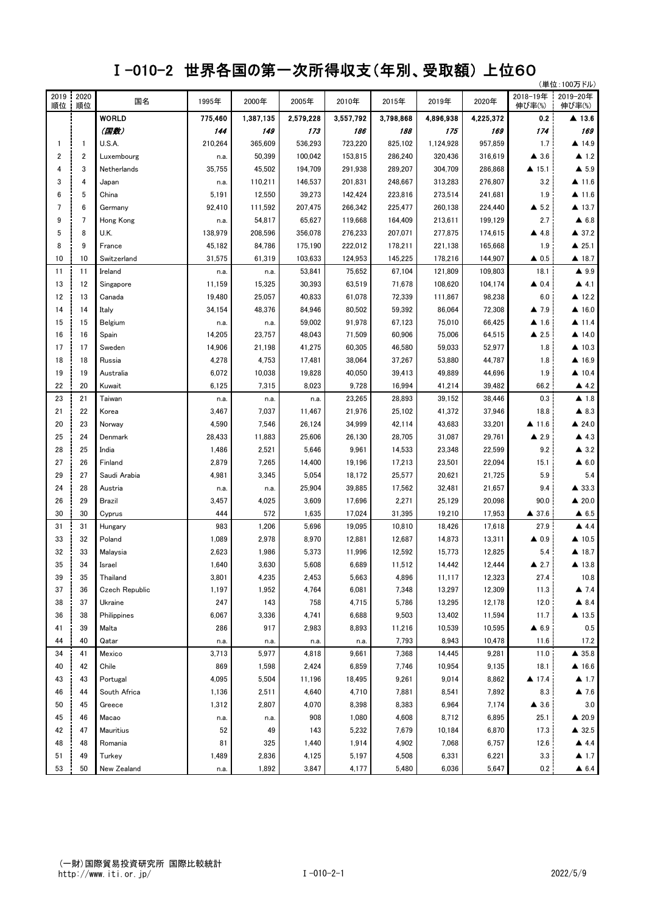## Ⅰ-010-2 世界各国の第一次所得収支(年別、受取額) 上位60

|            |              | (単位:100万ドル)           |            |            |           |           |           |           |                |                       |                       |
|------------|--------------|-----------------------|------------|------------|-----------|-----------|-----------|-----------|----------------|-----------------------|-----------------------|
| 2019<br>順位 | 2020<br>順位   | 国名                    | 1995年      | 2000年      | 2005年     | 2010年     | 2015年     | 2019年     | 2020年          | 2018-19年<br>伸び率(%)    | 2019-20年<br>伸び率(%)    |
|            |              | <b>WORLD</b>          | 775,460    | 1,387,135  | 2,579,228 | 3,557,792 | 3,798,868 | 4,896,938 | 4,225,372      | 0.2                   | $\blacktriangle$ 13.6 |
|            |              | (国数)                  | 144        | 149        | 173       | 186       | 188       | 175       | 169            | 174                   | 169                   |
| -1         | $\mathbf{1}$ | U.S.A.                | 210,264    | 365,609    | 536,293   | 723,220   | 825,102   | 1,124,928 | 957,859        | 1.7                   | ▲ 14.9                |
| 2          | 2            | Luxembourg            | n.a.       | 50,399     | 100,042   | 153,815   | 286,240   | 320,436   | 316,619        | $\blacktriangle$ 3.6  | $\blacktriangle$ 1.2  |
| 4          | 3            | Netherlands           | 35,755     | 45,502     | 194,709   | 291,938   | 289,207   | 304,709   | 286,868        | $\triangle$ 15.1      | $\blacktriangle$ 5.9  |
| 3          | 4            | Japan                 | n.a.       | 110,211    | 146,537   | 201,831   | 248,667   | 313,283   | 276,807        | 3.2                   | $\triangle$ 11.6      |
| 6          | 5            | China                 | 5,191      | 12,550     | 39,273    | 142,424   | 223,816   | 273,514   | 241,681        | 1.9                   | $\triangle$ 11.6      |
| 7          | 6            | Germany               | 92,410     | 111,592    | 207,475   | 266,342   | 225,477   | 260,138   | 224,440        | $\blacktriangle$ 5.2  | $\blacktriangle$ 13.7 |
| 9          | 7            | Hong Kong             | n.a.       | 54,817     | 65,627    | 119,668   | 164,409   | 213,611   | 199,129        | 2.7                   | $\blacktriangle$ 6.8  |
| 5          | 8            | U.K.                  | 138,979    | 208,596    | 356,078   | 276,233   | 207,071   | 277,875   | 174,615        | ▲ 4.8                 | $\triangle$ 37.2      |
| 8          | 9            | France                | 45,182     | 84,786     | 175,190   | 222,012   | 178,211   | 221,138   | 165,668        | 1.9                   | $\triangle$ 25.1      |
| 10         | 10           | Switzerland           | 31,575     | 61,319     | 103,633   | 124,953   | 145,225   | 178,216   | 144,907        | $\triangle$ 0.5       | ▲ 18.7                |
| 11         | 11           | Ireland               | n.a.       | n.a.       | 53,841    | 75,652    | 67,104    | 121,809   | 109,803        | 18.1                  | $\blacktriangle$ 9.9  |
| 13         | 12           | Singapore             | 11,159     | 15,325     | 30,393    | 63,519    | 71,678    | 108,620   | 104,174        | $\triangle$ 0.4       | $\blacktriangle$ 4.1  |
| 12         | 13           | Canada                | 19,480     | 25,057     | 40,833    | 61,078    | 72,339    | 111,867   | 98,238         | 6.0                   | ▲ 12.2                |
| 14         | 14           | Italy                 | 34,154     | 48,376     | 84,946    | 80,502    | 59,392    | 86,064    | 72,308         | $\blacktriangle$ 7.9  | $\blacktriangle$ 16.0 |
| 15         | 15           | Belgium               | n.a.       | n.a.       | 59,002    | 91,978    | 67,123    | 75,010    | 66,425         | $\blacktriangle$ 1.6  | $\triangle$ 11.4      |
| 16         | 16           | Spain                 | 14,205     | 23,757     | 48,043    | 71,509    | 60,906    | 75,006    | 64,515         | $\triangle$ 2.5       | $\triangle$ 14.0      |
| 17         | 17           | Sweden                | 14,906     | 21,198     | 41,275    | 60,305    | 46,580    | 59,033    | 52,977         | 1.8                   | $\triangle$ 10.3      |
| 18         | 18           | Russia                | 4,278      | 4,753      | 17,481    | 38,064    | 37,267    | 53,880    | 44,787         | 1.8                   | ▲ 16.9                |
| 19         | 19           | Australia             | 6,072      | 10,038     | 19,828    | 40,050    | 39,413    | 49,889    | 44,696         | 1.9                   | $\triangle$ 10.4      |
| 22         | 20           | Kuwait                | 6,125      | 7,315      | 8,023     | 9,728     | 16,994    | 41,214    | 39,482         | 66.2                  | $\triangle$ 4.2       |
| 23         | 21           | Taiwan                | n.a.       | n.a.       | n.a.      | 23,265    | 28,893    | 39,152    | 38,446         | 0.3                   | $\blacktriangle$ 1.8  |
| 21         | 22           | Korea                 | 3,467      | 7,037      | 11,467    | 21,976    | 25,102    | 41,372    | 37,946         | 18.8                  | $\blacktriangle$ 8.3  |
| 20         | 23           | Norway                | 4,590      | 7,546      | 26,124    | 34,999    | 42,114    | 43,683    | 33,201         | $\blacktriangle$ 11.6 | $\triangle$ 24.0      |
| 25         | 24           | Denmark               | 28,433     | 11,883     | 25,606    | 26,130    | 28,705    | 31,087    | 29,761         | $\blacktriangle$ 2.9  | $\triangle$ 4.3       |
| 28         | 25           | India                 | 1,486      | 2,521      | 5,646     | 9,961     | 14,533    | 23,348    | 22,599         | 9.2                   | $\triangle$ 3.2       |
| 27         | 26           | Finland               | 2,879      | 7,265      | 14,400    | 19,196    | 17,213    | 23,501    | 22,094         | 15.1                  | $\triangle$ 6.0       |
| 29         | 27           | Saudi Arabia          | 4,981      | 3,345      | 5,054     | 18,172    | 25,577    | 20,621    | 21,725         | 5.9                   | 5.4                   |
| 24         | 28           | Austria               | n.a.       | n.a.       | 25,904    | 39,885    | 17,562    | 32,481    | 21,657         | 9.4                   | ▲ 33.3                |
| 26         | 29           | Brazil                | 3,457      | 4,025      | 3,609     | 17,696    | 2,271     | 25,129    | 20,098         | 90.0                  | $\triangle$ 20.0      |
| 30         | 30           | Cyprus                | 444        | 572        | 1,635     | 17,024    | 31,395    | 19,210    | 17,953         | ▲ 37.6                | $\triangle$ 6.5       |
| 31         | 31           | Hungary               | 983        | 1,206      | 5,696     | 19,095    | 10,810    | 18,426    | 17,618         | 27.9                  | $\blacktriangle$ 4.4  |
| 33         | 32           | Poland                | 1,089      | 2,978      | 8,970     | 12,881    | 12,687    | 14,873    | 13,311         | $\triangle$ 0.9       | $\triangle$ 10.5      |
| 32         | 33           | Malaysia              | 2,623      | 1,986      | 5,373     | 11,996    | 12,592    | 15,773    | 12,825         | 5.4                   | $\blacktriangle$ 18.7 |
| 35         | 34           | Israel                | 1,640      | 3,630      | 5,608     | 6,689     | 11,512    | 14,442    | 12,444         | $\triangle$ 2.7       | $\blacktriangle$ 13.8 |
| 39         | 35           | Thailand              | 3,801      | 4,235      | 2,453     | 5,663     | 4,896     | 11,117    | 12,323         | 27.4                  | 10.8                  |
| 37         | 36           | <b>Czech Republic</b> | 1,197      | 1,952      | 4,764     | 6,081     | 7,348     | 13,297    | 12,309         | 11.3                  | $\blacktriangle$ 7.4  |
| 38         | 37           | Ukraine               | 247        | 143        | 758       | 4,715     | 5,786     | 13,295    | 12,178         | 12.0                  | $\blacktriangle$ 8.4  |
| 36         | 38           | Philippines           | 6,067      | 3,336      | 4,741     | 6,688     | 9,503     | 13,402    | 11,594         | 11.7                  | $\blacktriangle$ 13.5 |
| 41         | 39           | Malta                 | 286        | 917        | 2,983     | 8,893     | 11,216    | 10,539    | 10,595         | $\triangle$ 6.9       | 0.5                   |
| 44         | 40           | Qatar                 | n.a.       | n.a.       | n.a.      | n.a.      | 7,793     | 8,943     | 10,478         | 11.6                  | 17.2                  |
| 34         | 41           | Mexico                | 3,713      | 5,977      | 4,818     | 9,661     | 7,368     | 14,445    | 9,281          | 11.0                  | $\triangle$ 35.8      |
| 40         | 42           | Chile                 | 869        | 1,598      | 2,424     | 6,859     | 7,746     | 10,954    | 9,135          | 18.1                  | $\blacktriangle$ 16.6 |
| 43         | 43           | Portugal              | 4,095      | 5,504      | 11,196    | 18,495    | 9,261     | 9,014     | 8,862          | $\triangle$ 17.4      | $\blacktriangle$ 1.7  |
| 46         | 44           | South Africa          | 1,136      | 2,511      | 4,640     | 4,710     | 7,881     | 8,541     | 7,892          | 8.3                   | $\triangle$ 7.6       |
| 50         | 45           | Greece                | 1,312      | 2,807      | 4,070     | 8,398     | 8,383     | 6,964     |                | $\triangle$ 3.6       | 3.0                   |
|            | 46           |                       |            |            | 908       | 1,080     | 4,608     | 8,712     | 7,174<br>6,895 | 25.1                  | $\triangle$ 20.9      |
| 45         | 47           | Macao                 | n.a.<br>52 | n.a.<br>49 | 143       | 5,232     | 7,679     | 10,184    | 6,870          | 17.3                  | $\triangle$ 32.5      |
| 42         |              | Mauritius             |            |            |           |           |           |           |                |                       |                       |
| 48         | 48           | Romania               | 81         | 325        | 1,440     | 1,914     | 4,902     | 7,068     | 6,757          | 12.6                  | 4.4                   |
| 51         | 49           | Turkey                | 1,489      | 2,836      | 4,125     | 5,197     | 4,508     | 6,331     | 6,221          | 3.3                   | $\blacktriangle$ 1.7  |
| 53         | 50           | New Zealand           | n.a.       | 1,892      | 3,847     | 4,177     | 5,480     | 6,036     | 5,647          | 0.2                   | $\triangle$ 6.4       |